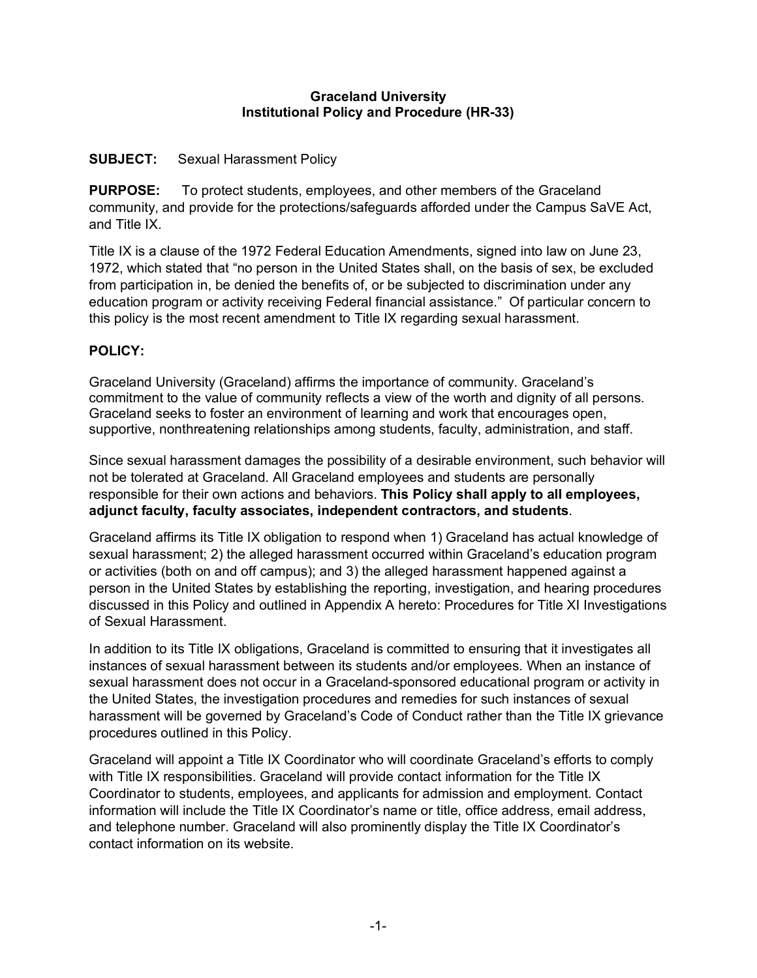#### **Graceland University Institutional Policy and Procedure (HR-33)**

### **SUBJECT:** Sexual Harassment Policy

**PURPOSE:** To protect students, employees, and other members of the Graceland community, and provide for the protections/safeguards afforded under the Campus SaVE Act, and Title IX.

Title IX is a clause of the 1972 Federal Education Amendments, signed into law on June 23, 1972, which stated that "no person in the United States shall, on the basis of sex, be excluded from participation in, be denied the benefits of, or be subjected to discrimination under any education program or activity receiving Federal financial assistance." Of particular concern to this policy is the most recent amendment to Title IX regarding sexual harassment.

### **POLICY:**

Graceland University (Graceland) affirms the importance of community. Graceland's commitment to the value of community reflects a view of the worth and dignity of all persons. Graceland seeks to foster an environment of learning and work that encourages open, supportive, nonthreatening relationships among students, faculty, administration, and staff.

Since sexual harassment damages the possibility of a desirable environment, such behavior will not be tolerated at Graceland. All Graceland employees and students are personally responsible for their own actions and behaviors. **This Policy shall apply to all employees, adjunct faculty, faculty associates, independent contractors, and students**.

Graceland affirms its Title IX obligation to respond when 1) Graceland has actual knowledge of sexual harassment; 2) the alleged harassment occurred within Graceland's education program or activities (both on and off campus); and 3) the alleged harassment happened against a person in the United States by establishing the reporting, investigation, and hearing procedures discussed in this Policy and outlined in Appendix A hereto: Procedures for Title XI Investigations of Sexual Harassment.

In addition to its Title IX obligations, Graceland is committed to ensuring that it investigates all instances of sexual harassment between its students and/or employees. When an instance of sexual harassment does not occur in a Graceland-sponsored educational program or activity in the United States, the investigation procedures and remedies for such instances of sexual harassment will be governed by Graceland's Code of Conduct rather than the Title IX grievance procedures outlined in this Policy.

Graceland will appoint a Title IX Coordinator who will coordinate Graceland's efforts to comply with Title IX responsibilities. Graceland will provide contact information for the Title IX Coordinator to students, employees, and applicants for admission and employment. Contact information will include the Title IX Coordinator's name or title, office address, email address, and telephone number. Graceland will also prominently display the Title IX Coordinator's contact information on its website.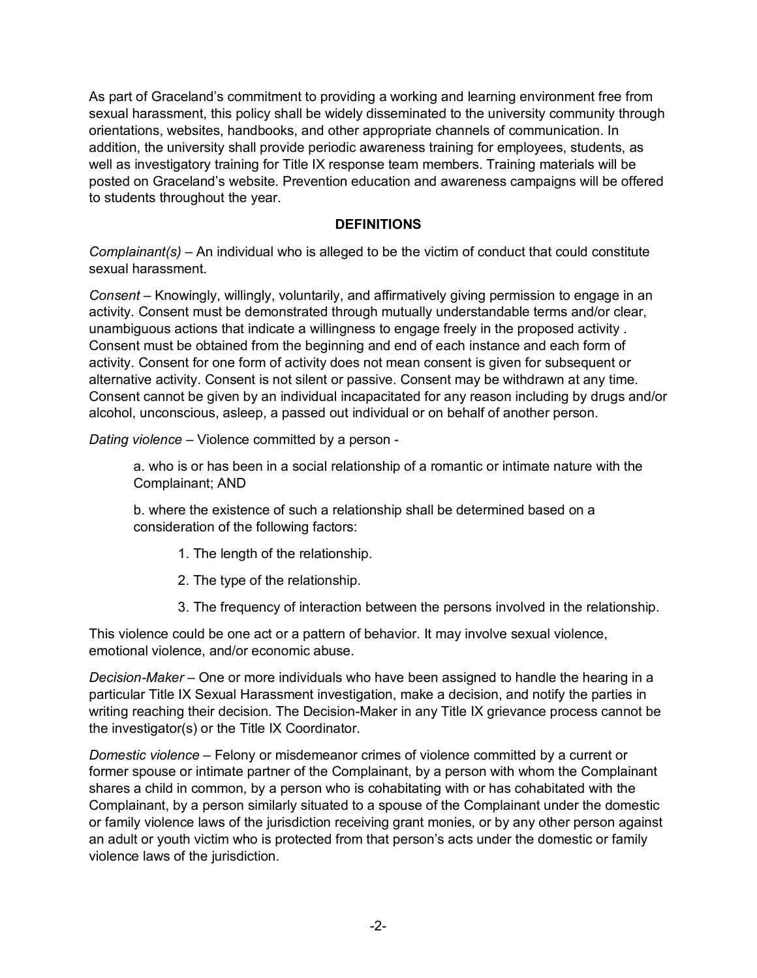As part of Graceland's commitment to providing a working and learning environment free from sexual harassment, this policy shall be widely disseminated to the university community through orientations, websites, handbooks, and other appropriate channels of communication. In addition, the university shall provide periodic awareness training for employees, students, as well as investigatory training for Title IX response team members. Training materials will be posted on Graceland's website. Prevention education and awareness campaigns will be offered to students throughout the year.

### **DEFINITIONS**

*Complainant(s)* – An individual who is alleged to be the victim of conduct that could constitute sexual harassment.

*Consent* – Knowingly, willingly, voluntarily, and affirmatively giving permission to engage in an activity. Consent must be demonstrated through mutually understandable terms and/or clear, unambiguous actions that indicate a willingness to engage freely in the proposed activity . Consent must be obtained from the beginning and end of each instance and each form of activity. Consent for one form of activity does not mean consent is given for subsequent or alternative activity. Consent is not silent or passive. Consent may be withdrawn at any time. Consent cannot be given by an individual incapacitated for any reason including by drugs and/or alcohol, unconscious, asleep, a passed out individual or on behalf of another person.

*Dating violence* – Violence committed by a person -

a. who is or has been in a social relationship of a romantic or intimate nature with the Complainant; AND

b. where the existence of such a relationship shall be determined based on a consideration of the following factors:

- 1. The length of the relationship.
- 2. The type of the relationship.
- 3. The frequency of interaction between the persons involved in the relationship.

This violence could be one act or a pattern of behavior. It may involve sexual violence, emotional violence, and/or economic abuse.

*Decision-Maker* – One or more individuals who have been assigned to handle the hearing in a particular Title IX Sexual Harassment investigation, make a decision, and notify the parties in writing reaching their decision. The Decision-Maker in any Title IX grievance process cannot be the investigator(s) or the Title IX Coordinator.

*Domestic violence* – Felony or misdemeanor crimes of violence committed by a current or former spouse or intimate partner of the Complainant, by a person with whom the Complainant shares a child in common, by a person who is cohabitating with or has cohabitated with the Complainant, by a person similarly situated to a spouse of the Complainant under the domestic or family violence laws of the jurisdiction receiving grant monies, or by any other person against an adult or youth victim who is protected from that person's acts under the domestic or family violence laws of the jurisdiction.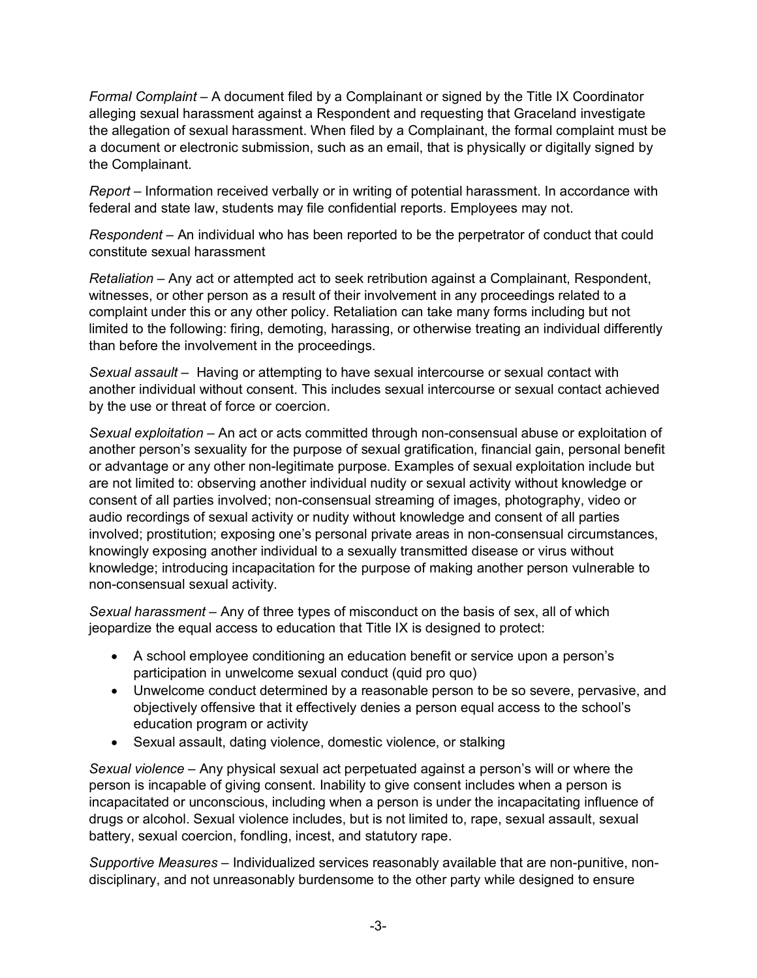*Formal Complaint –* A document filed by a Complainant or signed by the Title IX Coordinator alleging sexual harassment against a Respondent and requesting that Graceland investigate the allegation of sexual harassment. When filed by a Complainant, the formal complaint must be a document or electronic submission, such as an email, that is physically or digitally signed by the Complainant.

*Report* – Information received verbally or in writing of potential harassment. In accordance with federal and state law, students may file confidential reports. Employees may not.

*Respondent* – An individual who has been reported to be the perpetrator of conduct that could constitute sexual harassment

*Retaliation* – Any act or attempted act to seek retribution against a Complainant, Respondent, witnesses, or other person as a result of their involvement in any proceedings related to a complaint under this or any other policy. Retaliation can take many forms including but not limited to the following: firing, demoting, harassing, or otherwise treating an individual differently than before the involvement in the proceedings.

*Sexual assault* – Having or attempting to have sexual intercourse or sexual contact with another individual without consent. This includes sexual intercourse or sexual contact achieved by the use or threat of force or coercion.

*Sexual exploitation* – An act or acts committed through non-consensual abuse or exploitation of another person's sexuality for the purpose of sexual gratification, financial gain, personal benefit or advantage or any other non-legitimate purpose. Examples of sexual exploitation include but are not limited to: observing another individual nudity or sexual activity without knowledge or consent of all parties involved; non-consensual streaming of images, photography, video or audio recordings of sexual activity or nudity without knowledge and consent of all parties involved; prostitution; exposing one's personal private areas in non-consensual circumstances, knowingly exposing another individual to a sexually transmitted disease or virus without knowledge; introducing incapacitation for the purpose of making another person vulnerable to non-consensual sexual activity.

*Sexual harassment* – Any of three types of misconduct on the basis of sex, all of which jeopardize the equal access to education that Title IX is designed to protect:

- A school employee conditioning an education benefit or service upon a person's participation in unwelcome sexual conduct (quid pro quo)
- Unwelcome conduct determined by a reasonable person to be so severe, pervasive, and objectively offensive that it effectively denies a person equal access to the school's education program or activity
- Sexual assault, dating violence, domestic violence, or stalking

*Sexual violence* – Any physical sexual act perpetuated against a person's will or where the person is incapable of giving consent. Inability to give consent includes when a person is incapacitated or unconscious, including when a person is under the incapacitating influence of drugs or alcohol. Sexual violence includes, but is not limited to, rape, sexual assault, sexual battery, sexual coercion, fondling, incest, and statutory rape.

*Supportive Measures* – Individualized services reasonably available that are non-punitive, nondisciplinary, and not unreasonably burdensome to the other party while designed to ensure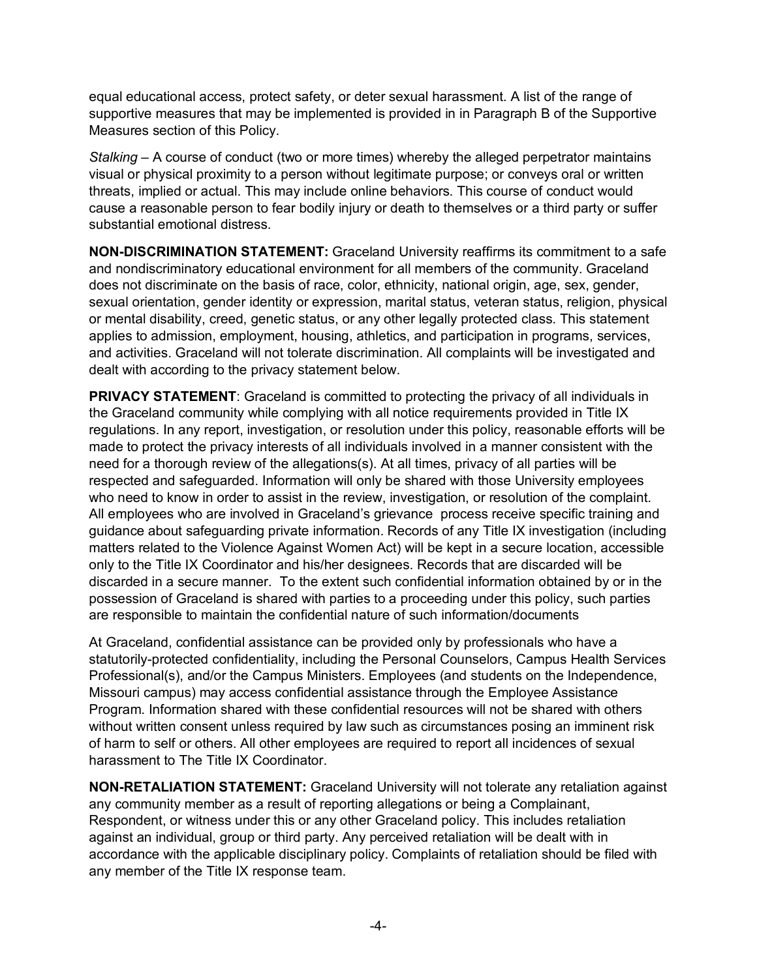equal educational access, protect safety, or deter sexual harassment. A list of the range of supportive measures that may be implemented is provided in in Paragraph B of the Supportive Measures section of this Policy.

*Stalking* – A course of conduct (two or more times) whereby the alleged perpetrator maintains visual or physical proximity to a person without legitimate purpose; or conveys oral or written threats, implied or actual. This may include online behaviors. This course of conduct would cause a reasonable person to fear bodily injury or death to themselves or a third party or suffer substantial emotional distress.

**NON-DISCRIMINATION STATEMENT:** Graceland University reaffirms its commitment to a safe and nondiscriminatory educational environment for all members of the community. Graceland does not discriminate on the basis of race, color, ethnicity, national origin, age, sex, gender, sexual orientation, gender identity or expression, marital status, veteran status, religion, physical or mental disability, creed, genetic status, or any other legally protected class. This statement applies to admission, employment, housing, athletics, and participation in programs, services, and activities. Graceland will not tolerate discrimination. All complaints will be investigated and dealt with according to the privacy statement below.

**PRIVACY STATEMENT:** Graceland is committed to protecting the privacy of all individuals in the Graceland community while complying with all notice requirements provided in Title IX regulations. In any report, investigation, or resolution under this policy, reasonable efforts will be made to protect the privacy interests of all individuals involved in a manner consistent with the need for a thorough review of the allegations(s). At all times, privacy of all parties will be respected and safeguarded. Information will only be shared with those University employees who need to know in order to assist in the review, investigation, or resolution of the complaint. All employees who are involved in Graceland's grievance process receive specific training and guidance about safeguarding private information. Records of any Title IX investigation (including matters related to the Violence Against Women Act) will be kept in a secure location, accessible only to the Title IX Coordinator and his/her designees. Records that are discarded will be discarded in a secure manner. To the extent such confidential information obtained by or in the possession of Graceland is shared with parties to a proceeding under this policy, such parties are responsible to maintain the confidential nature of such information/documents

At Graceland, confidential assistance can be provided only by professionals who have a statutorily-protected confidentiality, including the Personal Counselors, Campus Health Services Professional(s), and/or the Campus Ministers. Employees (and students on the Independence, Missouri campus) may access confidential assistance through the Employee Assistance Program. Information shared with these confidential resources will not be shared with others without written consent unless required by law such as circumstances posing an imminent risk of harm to self or others. All other employees are required to report all incidences of sexual harassment to The Title IX Coordinator.

**NON-RETALIATION STATEMENT:** Graceland University will not tolerate any retaliation against any community member as a result of reporting allegations or being a Complainant, Respondent, or witness under this or any other Graceland policy. This includes retaliation against an individual, group or third party. Any perceived retaliation will be dealt with in accordance with the applicable disciplinary policy. Complaints of retaliation should be filed with any member of the Title IX response team.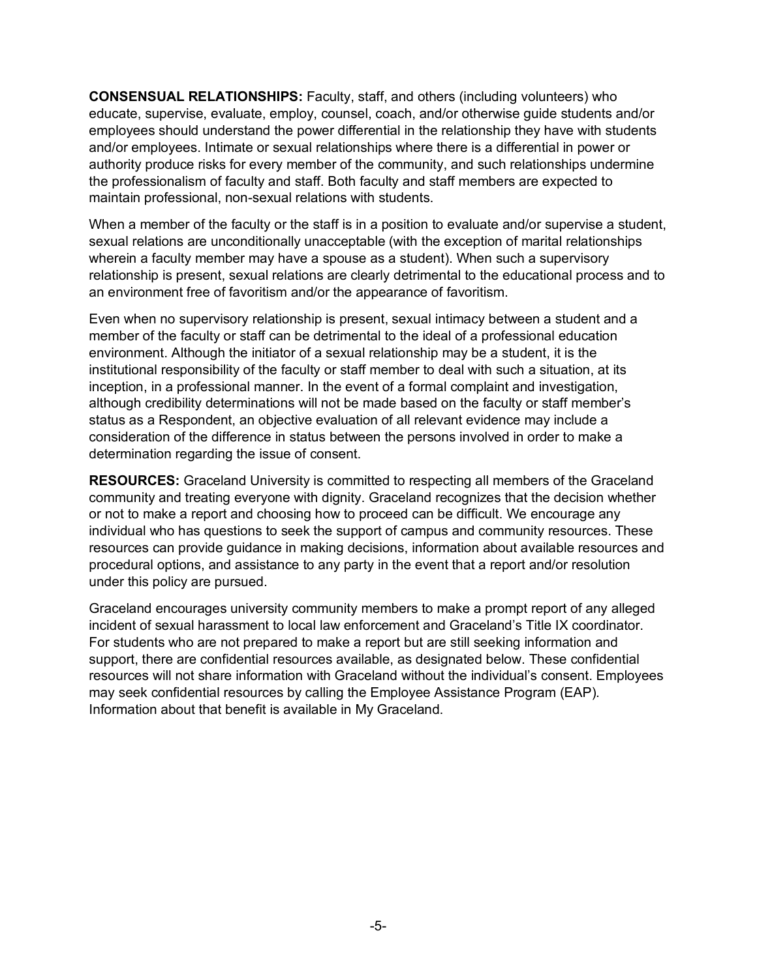**CONSENSUAL RELATIONSHIPS:** Faculty, staff, and others (including volunteers) who educate, supervise, evaluate, employ, counsel, coach, and/or otherwise guide students and/or employees should understand the power differential in the relationship they have with students and/or employees. Intimate or sexual relationships where there is a differential in power or authority produce risks for every member of the community, and such relationships undermine the professionalism of faculty and staff. Both faculty and staff members are expected to maintain professional, non-sexual relations with students.

When a member of the faculty or the staff is in a position to evaluate and/or supervise a student, sexual relations are unconditionally unacceptable (with the exception of marital relationships wherein a faculty member may have a spouse as a student). When such a supervisory relationship is present, sexual relations are clearly detrimental to the educational process and to an environment free of favoritism and/or the appearance of favoritism.

Even when no supervisory relationship is present, sexual intimacy between a student and a member of the faculty or staff can be detrimental to the ideal of a professional education environment. Although the initiator of a sexual relationship may be a student, it is the institutional responsibility of the faculty or staff member to deal with such a situation, at its inception, in a professional manner. In the event of a formal complaint and investigation, although credibility determinations will not be made based on the faculty or staff member's status as a Respondent, an objective evaluation of all relevant evidence may include a consideration of the difference in status between the persons involved in order to make a determination regarding the issue of consent.

**RESOURCES:** Graceland University is committed to respecting all members of the Graceland community and treating everyone with dignity. Graceland recognizes that the decision whether or not to make a report and choosing how to proceed can be difficult. We encourage any individual who has questions to seek the support of campus and community resources. These resources can provide guidance in making decisions, information about available resources and procedural options, and assistance to any party in the event that a report and/or resolution under this policy are pursued.

Graceland encourages university community members to make a prompt report of any alleged incident of sexual harassment to local law enforcement and Graceland's Title IX coordinator. For students who are not prepared to make a report but are still seeking information and support, there are confidential resources available, as designated below. These confidential resources will not share information with Graceland without the individual's consent. Employees may seek confidential resources by calling the Employee Assistance Program (EAP). Information about that benefit is available in My Graceland.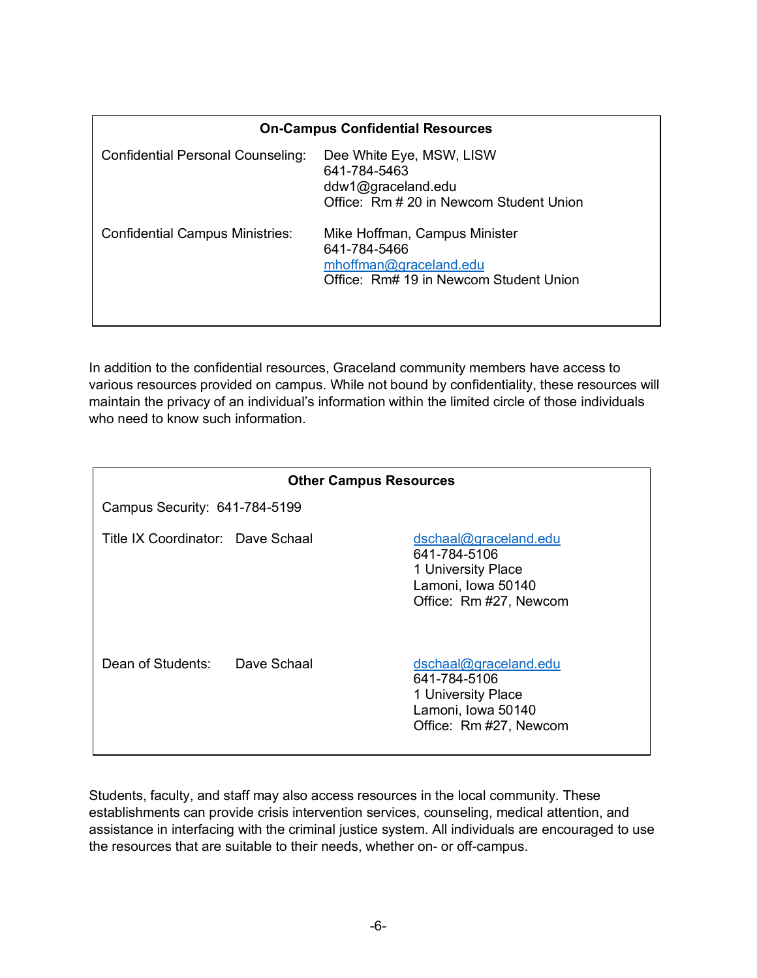| <b>On-Campus Confidential Resources</b> |                                                                                                                   |  |  |  |
|-----------------------------------------|-------------------------------------------------------------------------------------------------------------------|--|--|--|
| Confidential Personal Counseling:       | Dee White Eye, MSW, LISW<br>641-784-5463<br>ddw1@graceland.edu<br>Office: Rm # 20 in Newcom Student Union         |  |  |  |
| <b>Confidential Campus Ministries:</b>  | Mike Hoffman, Campus Minister<br>641-784-5466<br>mhoffman@graceland.edu<br>Office: Rm# 19 in Newcom Student Union |  |  |  |

In addition to the confidential resources, Graceland community members have access to various resources provided on campus. While not bound by confidentiality, these resources will maintain the privacy of an individual's information within the limited circle of those individuals who need to know such information.

| <b>Other Campus Resources</b>     |             |                                                                                                             |  |  |  |
|-----------------------------------|-------------|-------------------------------------------------------------------------------------------------------------|--|--|--|
| Campus Security: 641-784-5199     |             |                                                                                                             |  |  |  |
| Title IX Coordinator: Dave Schaal |             | dschaal@graceland.edu<br>641-784-5106<br>1 University Place<br>Lamoni, Iowa 50140<br>Office: Rm #27, Newcom |  |  |  |
| Dean of Students:                 | Dave Schaal | dschaal@graceland.edu<br>641-784-5106<br>1 University Place<br>Lamoni, Iowa 50140<br>Office: Rm #27, Newcom |  |  |  |

Students, faculty, and staff may also access resources in the local community. These establishments can provide crisis intervention services, counseling, medical attention, and assistance in interfacing with the criminal justice system. All individuals are encouraged to use the resources that are suitable to their needs, whether on- or off-campus.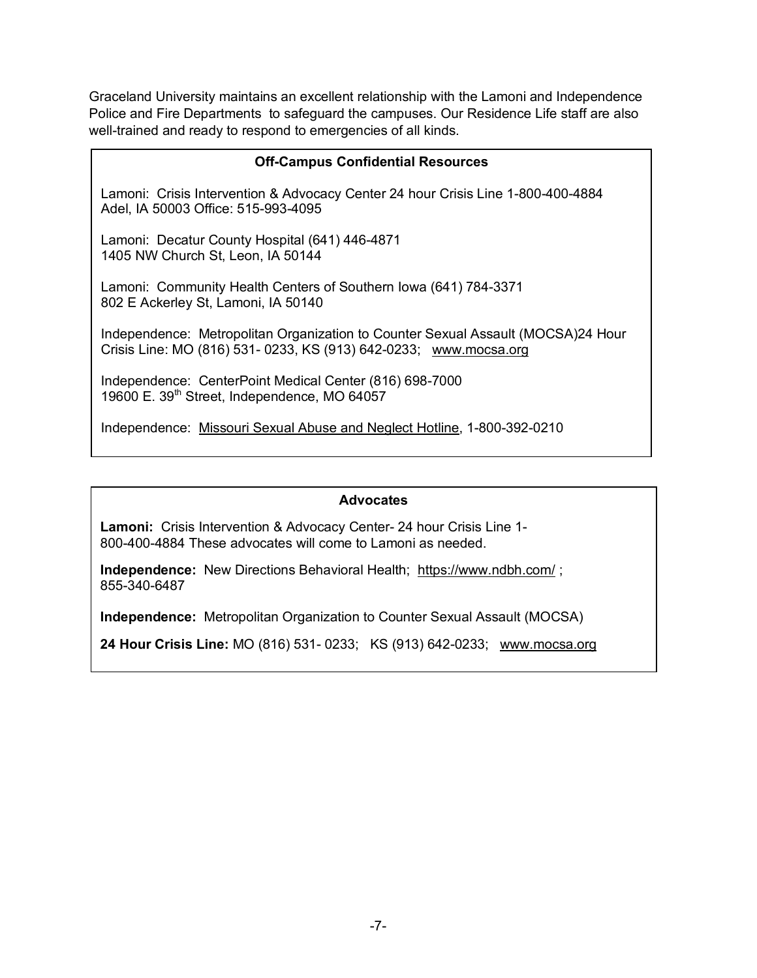Graceland University maintains an excellent relationship with the Lamoni and Independence Police and Fire Departments to safeguard the campuses. Our Residence Life staff are also well-trained and ready to respond to emergencies of all kinds.

| <b>Off-Campus Confidential Resources</b>                                                                                                              |  |  |  |
|-------------------------------------------------------------------------------------------------------------------------------------------------------|--|--|--|
| Lamoni: Crisis Intervention & Advocacy Center 24 hour Crisis Line 1-800-400-4884<br>Adel, IA 50003 Office: 515-993-4095                               |  |  |  |
| Lamoni: Decatur County Hospital (641) 446-4871<br>1405 NW Church St, Leon, IA 50144                                                                   |  |  |  |
| Lamoni: Community Health Centers of Southern Iowa (641) 784-3371<br>802 E Ackerley St, Lamoni, IA 50140                                               |  |  |  |
| Independence: Metropolitan Organization to Counter Sexual Assault (MOCSA)24 Hour<br>Crisis Line: MO (816) 531- 0233, KS (913) 642-0233; www.mocsa.org |  |  |  |
| Independence: CenterPoint Medical Center (816) 698-7000<br>19600 E. 39th Street, Independence, MO 64057                                               |  |  |  |

Independence: Missouri Sexual Abuse and Neglect Hotline, 1-800-392-0210

#### **Advocates**

**Lamoni:** Crisis Intervention & Advocacy Center- 24 hour Crisis Line 1- 800-400-4884 These advocates will come to Lamoni as needed.

**Independence:** New Directions Behavioral Health; https://www.ndbh.com/ ; 855-340-6487

**Independence:** Metropolitan Organization to Counter Sexual Assault (MOCSA)

**24 Hour Crisis Line:** MO (816) 531- 0233; KS (913) 642-0233; www.mocsa.org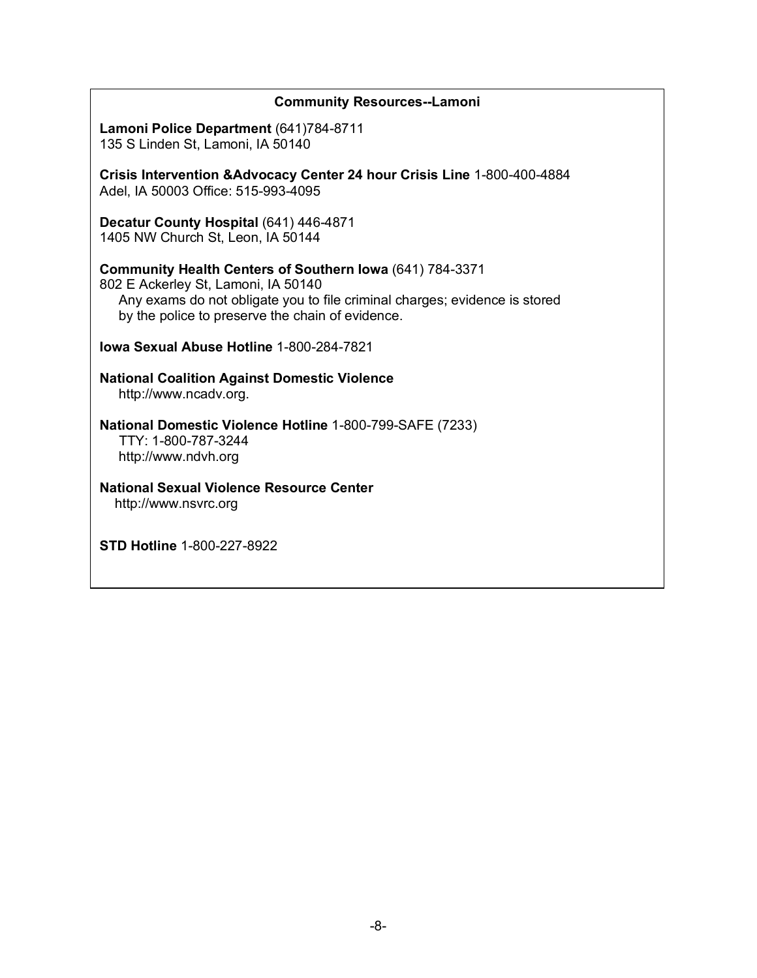| <b>Community Resources--Lamoni</b>                                                                                                                                                                                                |  |  |  |
|-----------------------------------------------------------------------------------------------------------------------------------------------------------------------------------------------------------------------------------|--|--|--|
| Lamoni Police Department (641)784-8711<br>135 S Linden St, Lamoni, IA 50140                                                                                                                                                       |  |  |  |
| Crisis Intervention & Advocacy Center 24 hour Crisis Line 1-800-400-4884<br>Adel, IA 50003 Office: 515-993-4095                                                                                                                   |  |  |  |
| Decatur County Hospital (641) 446-4871<br>1405 NW Church St, Leon, IA 50144                                                                                                                                                       |  |  |  |
| Community Health Centers of Southern Iowa (641) 784-3371<br>802 E Ackerley St, Lamoni, IA 50140<br>Any exams do not obligate you to file criminal charges; evidence is stored<br>by the police to preserve the chain of evidence. |  |  |  |
| <b>Iowa Sexual Abuse Hotline 1-800-284-7821</b>                                                                                                                                                                                   |  |  |  |
| <b>National Coalition Against Domestic Violence</b><br>http://www.ncadv.org.                                                                                                                                                      |  |  |  |
| National Domestic Violence Hotline 1-800-799-SAFE (7233)<br>TTY: 1-800-787-3244<br>http://www.ndvh.org                                                                                                                            |  |  |  |
| <b>National Sexual Violence Resource Center</b><br>http://www.nsvrc.org                                                                                                                                                           |  |  |  |
| <b>STD Hotline 1-800-227-8922</b>                                                                                                                                                                                                 |  |  |  |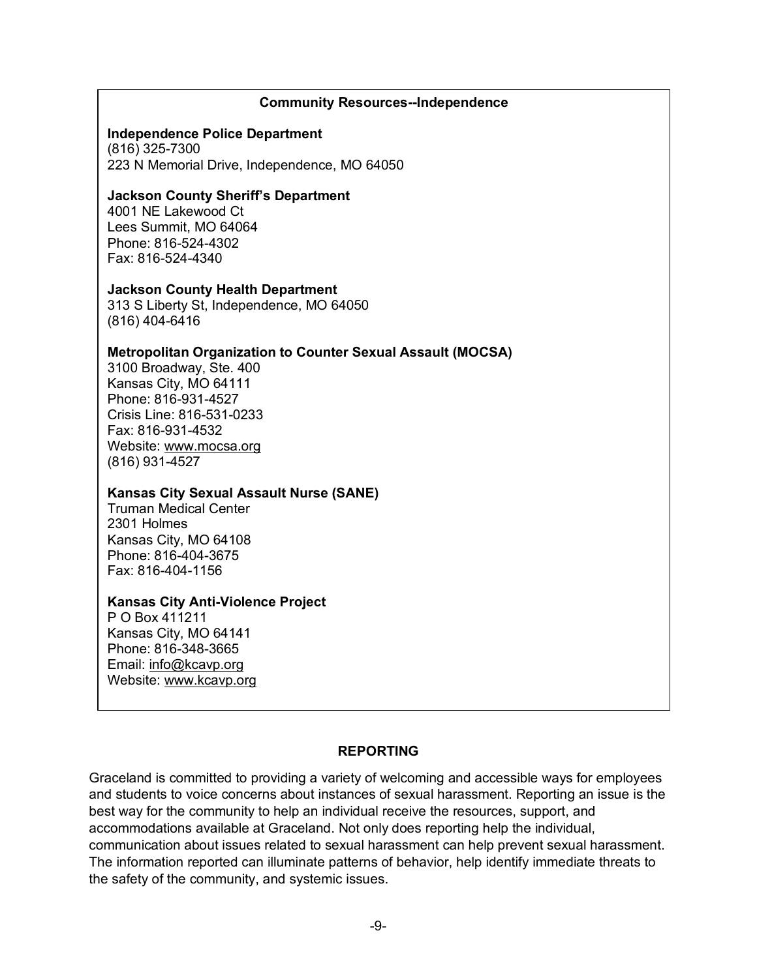#### **Community Resources--Independence**

#### **Independence Police Department**

(816) 325-7300 223 N Memorial Drive, Independence, MO 64050

#### **Jackson County Sheriff's Department**

4001 NE Lakewood Ct Lees Summit, MO 64064 Phone: 816-524-4302 Fax: 816-524-4340

#### **Jackson County Health Department**

313 S Liberty St, Independence, MO 64050 (816) 404-6416

### **Metropolitan Organization to Counter Sexual Assault (MOCSA)**

3100 Broadway, Ste. 400 Kansas City, MO 64111 Phone: 816-931-4527 Crisis Line: 816-531-0233 Fax: 816-931-4532 Website: www.mocsa.org (816) 931-4527

#### **Kansas City Sexual Assault Nurse (SANE)**

Truman Medical Center 2301 Holmes Kansas City, MO 64108 Phone: 816-404-3675 Fax: 816-404-1156

#### **Kansas City Anti-Violence Project**

P O Box 411211 Kansas City, MO 64141 Phone: 816-348-3665 Email: info@kcavp.org Website: www.kcavp.org

### **REPORTING**

Graceland is committed to providing a variety of welcoming and accessible ways for employees and students to voice concerns about instances of sexual harassment. Reporting an issue is the best way for the community to help an individual receive the resources, support, and accommodations available at Graceland. Not only does reporting help the individual, communication about issues related to sexual harassment can help prevent sexual harassment. The information reported can illuminate patterns of behavior, help identify immediate threats to the safety of the community, and systemic issues.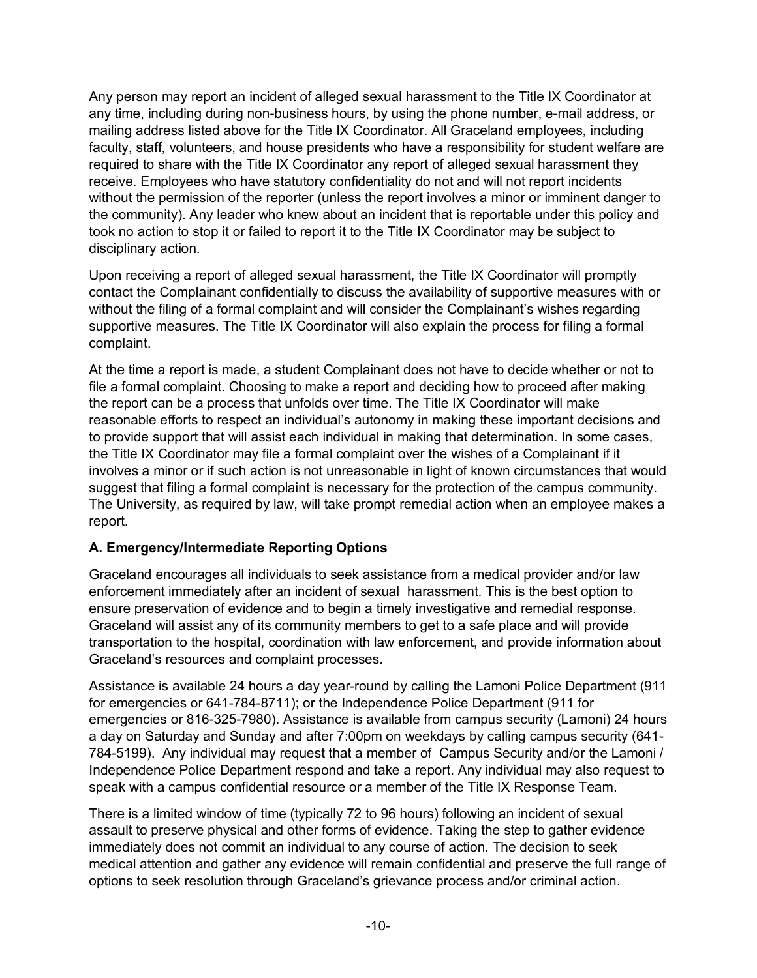Any person may report an incident of alleged sexual harassment to the Title IX Coordinator at any time, including during non-business hours, by using the phone number, e-mail address, or mailing address listed above for the Title IX Coordinator. All Graceland employees, including faculty, staff, volunteers, and house presidents who have a responsibility for student welfare are required to share with the Title IX Coordinator any report of alleged sexual harassment they receive. Employees who have statutory confidentiality do not and will not report incidents without the permission of the reporter (unless the report involves a minor or imminent danger to the community). Any leader who knew about an incident that is reportable under this policy and took no action to stop it or failed to report it to the Title IX Coordinator may be subject to disciplinary action.

Upon receiving a report of alleged sexual harassment, the Title IX Coordinator will promptly contact the Complainant confidentially to discuss the availability of supportive measures with or without the filing of a formal complaint and will consider the Complainant's wishes regarding supportive measures. The Title IX Coordinator will also explain the process for filing a formal complaint.

At the time a report is made, a student Complainant does not have to decide whether or not to file a formal complaint. Choosing to make a report and deciding how to proceed after making the report can be a process that unfolds over time. The Title IX Coordinator will make reasonable efforts to respect an individual's autonomy in making these important decisions and to provide support that will assist each individual in making that determination. In some cases, the Title IX Coordinator may file a formal complaint over the wishes of a Complainant if it involves a minor or if such action is not unreasonable in light of known circumstances that would suggest that filing a formal complaint is necessary for the protection of the campus community. The University, as required by law, will take prompt remedial action when an employee makes a report.

### **A. Emergency/Intermediate Reporting Options**

Graceland encourages all individuals to seek assistance from a medical provider and/or law enforcement immediately after an incident of sexual harassment. This is the best option to ensure preservation of evidence and to begin a timely investigative and remedial response. Graceland will assist any of its community members to get to a safe place and will provide transportation to the hospital, coordination with law enforcement, and provide information about Graceland's resources and complaint processes.

Assistance is available 24 hours a day year-round by calling the Lamoni Police Department (911 for emergencies or 641-784-8711); or the Independence Police Department (911 for emergencies or 816-325-7980). Assistance is available from campus security (Lamoni) 24 hours a day on Saturday and Sunday and after 7:00pm on weekdays by calling campus security (641- 784-5199). Any individual may request that a member of Campus Security and/or the Lamoni / Independence Police Department respond and take a report. Any individual may also request to speak with a campus confidential resource or a member of the Title IX Response Team.

There is a limited window of time (typically 72 to 96 hours) following an incident of sexual assault to preserve physical and other forms of evidence. Taking the step to gather evidence immediately does not commit an individual to any course of action. The decision to seek medical attention and gather any evidence will remain confidential and preserve the full range of options to seek resolution through Graceland's grievance process and/or criminal action.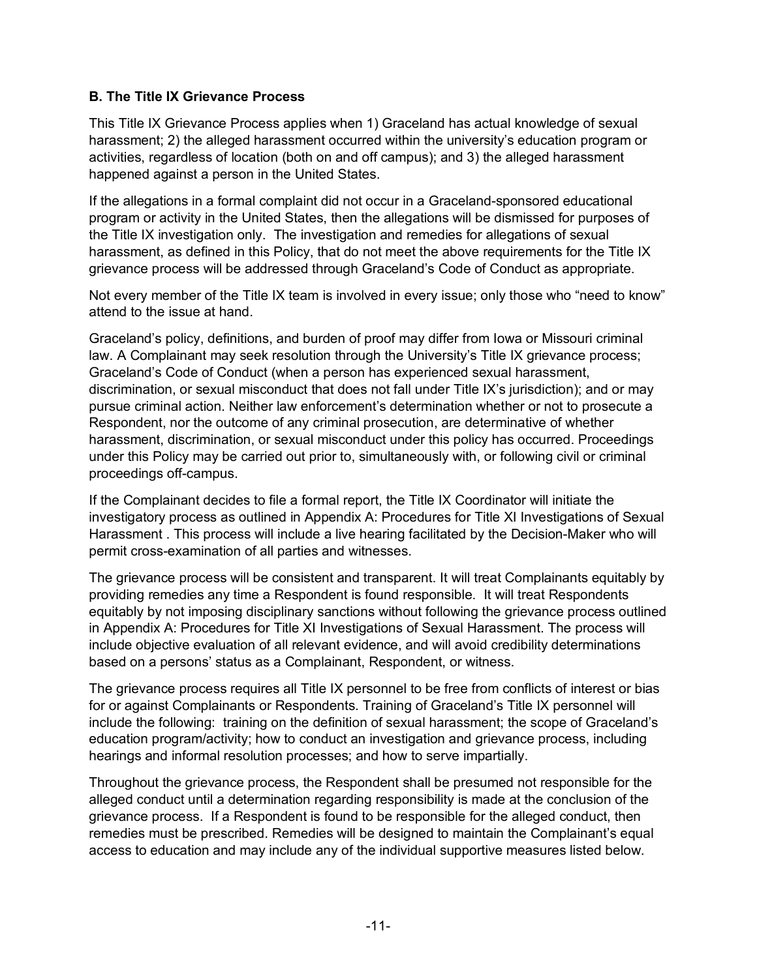### **B. The Title IX Grievance Process**

This Title IX Grievance Process applies when 1) Graceland has actual knowledge of sexual harassment; 2) the alleged harassment occurred within the university's education program or activities, regardless of location (both on and off campus); and 3) the alleged harassment happened against a person in the United States.

If the allegations in a formal complaint did not occur in a Graceland-sponsored educational program or activity in the United States, then the allegations will be dismissed for purposes of the Title IX investigation only. The investigation and remedies for allegations of sexual harassment, as defined in this Policy, that do not meet the above requirements for the Title IX grievance process will be addressed through Graceland's Code of Conduct as appropriate.

Not every member of the Title IX team is involved in every issue; only those who "need to know" attend to the issue at hand.

Graceland's policy, definitions, and burden of proof may differ from Iowa or Missouri criminal law. A Complainant may seek resolution through the University's Title IX grievance process; Graceland's Code of Conduct (when a person has experienced sexual harassment, discrimination, or sexual misconduct that does not fall under Title IX's jurisdiction); and or may pursue criminal action. Neither law enforcement's determination whether or not to prosecute a Respondent, nor the outcome of any criminal prosecution, are determinative of whether harassment, discrimination, or sexual misconduct under this policy has occurred. Proceedings under this Policy may be carried out prior to, simultaneously with, or following civil or criminal proceedings off-campus.

If the Complainant decides to file a formal report, the Title IX Coordinator will initiate the investigatory process as outlined in Appendix A: Procedures for Title XI Investigations of Sexual Harassment . This process will include a live hearing facilitated by the Decision-Maker who will permit cross-examination of all parties and witnesses.

The grievance process will be consistent and transparent. It will treat Complainants equitably by providing remedies any time a Respondent is found responsible. It will treat Respondents equitably by not imposing disciplinary sanctions without following the grievance process outlined in Appendix A: Procedures for Title XI Investigations of Sexual Harassment. The process will include objective evaluation of all relevant evidence, and will avoid credibility determinations based on a persons' status as a Complainant, Respondent, or witness.

The grievance process requires all Title IX personnel to be free from conflicts of interest or bias for or against Complainants or Respondents. Training of Graceland's Title IX personnel will include the following: training on the definition of sexual harassment; the scope of Graceland's education program/activity; how to conduct an investigation and grievance process, including hearings and informal resolution processes; and how to serve impartially.

Throughout the grievance process, the Respondent shall be presumed not responsible for the alleged conduct until a determination regarding responsibility is made at the conclusion of the grievance process. If a Respondent is found to be responsible for the alleged conduct, then remedies must be prescribed. Remedies will be designed to maintain the Complainant's equal access to education and may include any of the individual supportive measures listed below.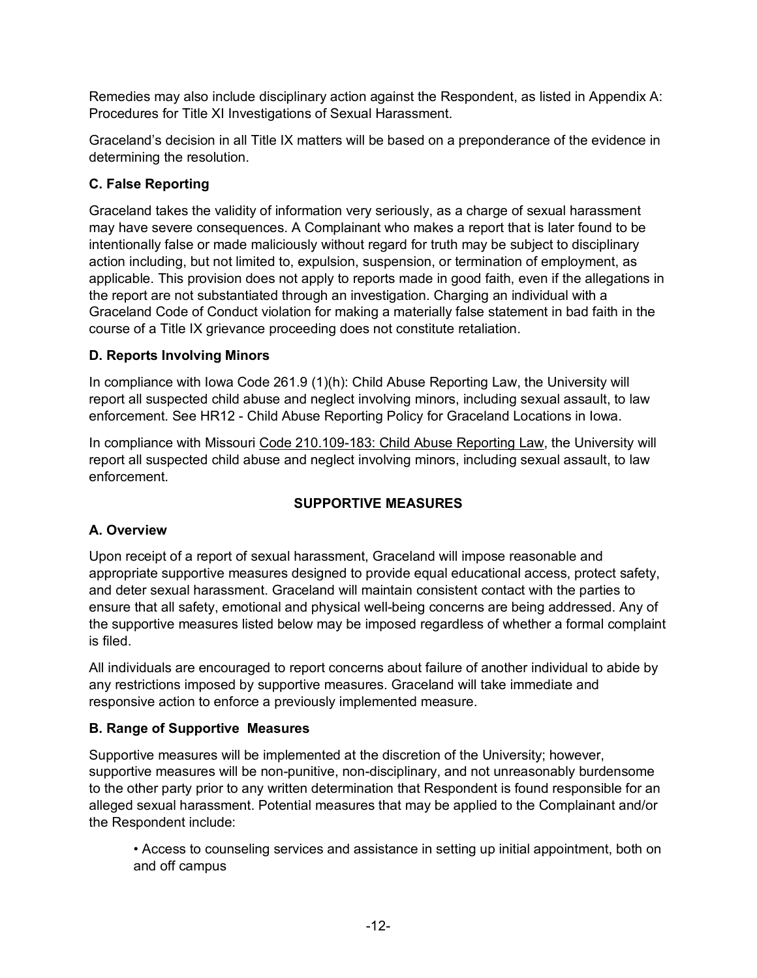Remedies may also include disciplinary action against the Respondent, as listed in Appendix A: Procedures for Title XI Investigations of Sexual Harassment.

Graceland's decision in all Title IX matters will be based on a preponderance of the evidence in determining the resolution.

# **C. False Reporting**

Graceland takes the validity of information very seriously, as a charge of sexual harassment may have severe consequences. A Complainant who makes a report that is later found to be intentionally false or made maliciously without regard for truth may be subject to disciplinary action including, but not limited to, expulsion, suspension, or termination of employment, as applicable. This provision does not apply to reports made in good faith, even if the allegations in the report are not substantiated through an investigation. Charging an individual with a Graceland Code of Conduct violation for making a materially false statement in bad faith in the course of a Title IX grievance proceeding does not constitute retaliation.

## **D. Reports Involving Minors**

In compliance with Iowa Code 261.9 (1)(h): Child Abuse Reporting Law, the University will report all suspected child abuse and neglect involving minors, including sexual assault, to law enforcement. See HR12 - Child Abuse Reporting Policy for Graceland Locations in Iowa.

In compliance with Missouri Code 210.109-183: Child Abuse Reporting Law, the University will report all suspected child abuse and neglect involving minors, including sexual assault, to law enforcement.

# **SUPPORTIVE MEASURES**

# **A. Overview**

Upon receipt of a report of sexual harassment, Graceland will impose reasonable and appropriate supportive measures designed to provide equal educational access, protect safety, and deter sexual harassment. Graceland will maintain consistent contact with the parties to ensure that all safety, emotional and physical well-being concerns are being addressed. Any of the supportive measures listed below may be imposed regardless of whether a formal complaint is filed.

All individuals are encouraged to report concerns about failure of another individual to abide by any restrictions imposed by supportive measures. Graceland will take immediate and responsive action to enforce a previously implemented measure.

## **B. Range of Supportive Measures**

Supportive measures will be implemented at the discretion of the University; however, supportive measures will be non-punitive, non-disciplinary, and not unreasonably burdensome to the other party prior to any written determination that Respondent is found responsible for an alleged sexual harassment. Potential measures that may be applied to the Complainant and/or the Respondent include:

• Access to counseling services and assistance in setting up initial appointment, both on and off campus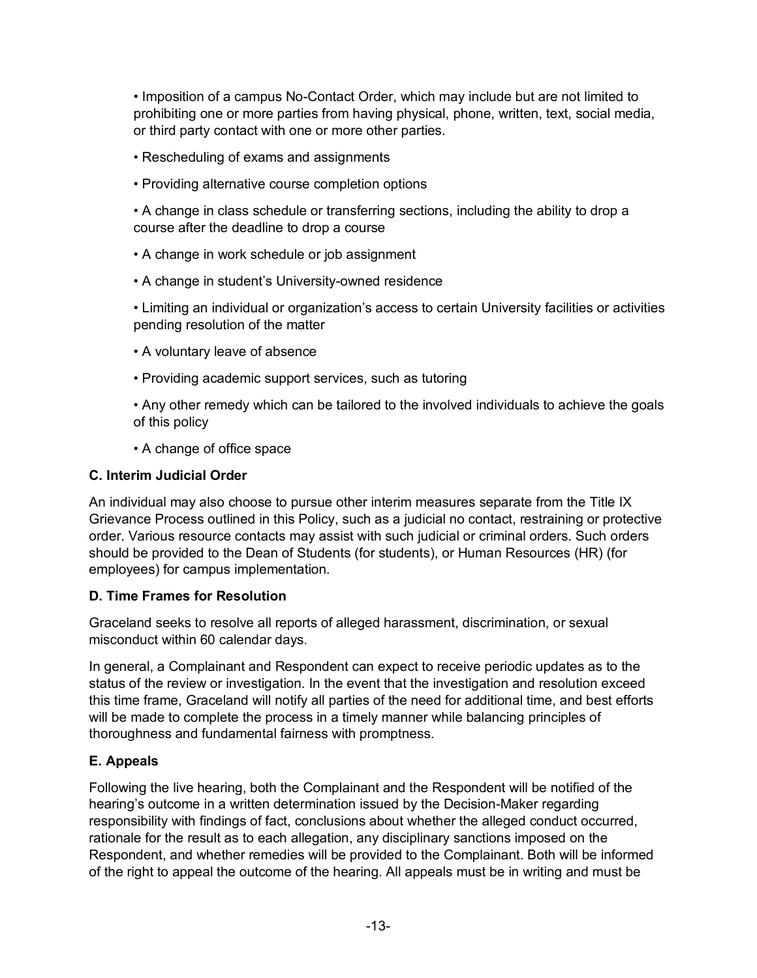• Imposition of a campus No-Contact Order, which may include but are not limited to prohibiting one or more parties from having physical, phone, written, text, social media, or third party contact with one or more other parties.

- Rescheduling of exams and assignments
- Providing alternative course completion options

• A change in class schedule or transferring sections, including the ability to drop a course after the deadline to drop a course

- A change in work schedule or job assignment
- A change in student's University-owned residence

• Limiting an individual or organization's access to certain University facilities or activities pending resolution of the matter

- A voluntary leave of absence
- Providing academic support services, such as tutoring
- Any other remedy which can be tailored to the involved individuals to achieve the goals of this policy

• A change of office space

### **C. Interim Judicial Order**

An individual may also choose to pursue other interim measures separate from the Title IX Grievance Process outlined in this Policy, such as a judicial no contact, restraining or protective order. Various resource contacts may assist with such judicial or criminal orders. Such orders should be provided to the Dean of Students (for students), or Human Resources (HR) (for employees) for campus implementation.

### **D. Time Frames for Resolution**

Graceland seeks to resolve all reports of alleged harassment, discrimination, or sexual misconduct within 60 calendar days.

In general, a Complainant and Respondent can expect to receive periodic updates as to the status of the review or investigation. In the event that the investigation and resolution exceed this time frame, Graceland will notify all parties of the need for additional time, and best efforts will be made to complete the process in a timely manner while balancing principles of thoroughness and fundamental fairness with promptness.

### **E. Appeals**

Following the live hearing, both the Complainant and the Respondent will be notified of the hearing's outcome in a written determination issued by the Decision-Maker regarding responsibility with findings of fact, conclusions about whether the alleged conduct occurred, rationale for the result as to each allegation, any disciplinary sanctions imposed on the Respondent, and whether remedies will be provided to the Complainant. Both will be informed of the right to appeal the outcome of the hearing. All appeals must be in writing and must be